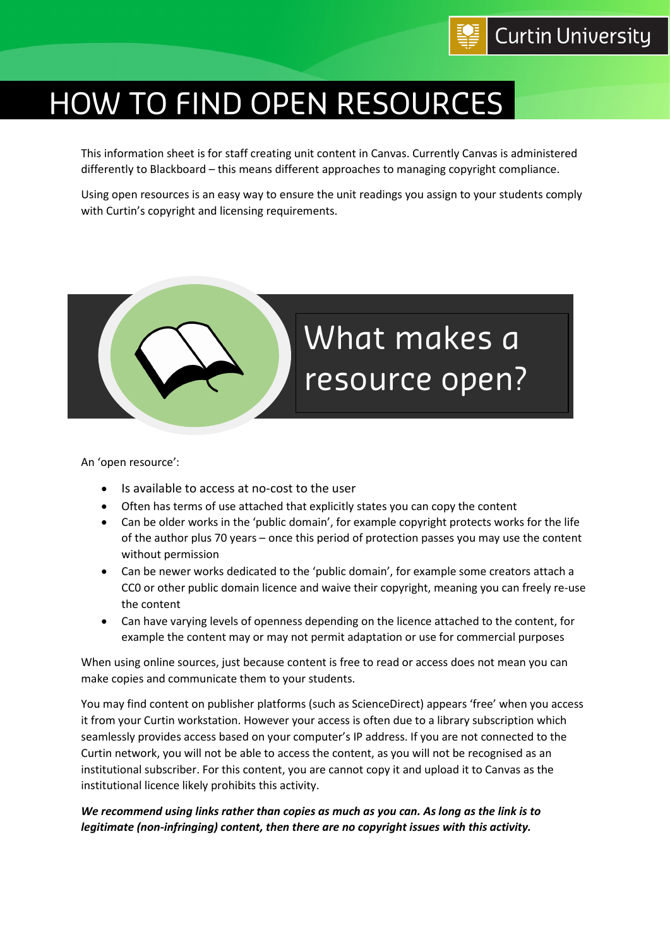

## HOW TO FIND OPEN RESOURCES

This information sheet is for staff creating unit content in Canvas. Currently Canvas is administered differently to Blackboard – this means different approaches to managing copyright compliance.

Using open resources is an easy way to ensure the unit readings you assign to your students comply with Curtin's copyright and licensing requirements.



An 'open resource':

- Is available to access at no-cost to the user
- Often has terms of use attached that explicitly states you can copy the content
- Can be older works in the 'public domain', for example copyright protects works for the life of the author plus 70 years – once this period of protection passes you may use the content without permission
- Can be newer works dedicated to the 'public domain', for example some creators attach a CC0 or other public domain licence and waive their copyright, meaning you can freely re-use the content
- Can have varying levels of openness depending on the licence attached to the content, for example the content may or may not permit adaptation or use for commercial purposes

When using online sources, just because content is free to read or access does not mean you can make copies and communicate them to your students.

You may find content on publisher platforms (such as ScienceDirect) appears 'free' when you access it from your Curtin workstation. However your access is often due to a library subscription which seamlessly provides access based on your computer's IP address. If you are not connected to the Curtin network, you will not be able to access the content, as you will not be recognised as an institutional subscriber. For this content, you are cannot copy it and upload it to Canvas as the institutional licence likely prohibits this activity.

## *We recommend using links rather than copies as much as you can. As long as the link is to legitimate (non-infringing) content, then there are no copyright issues with this activity.*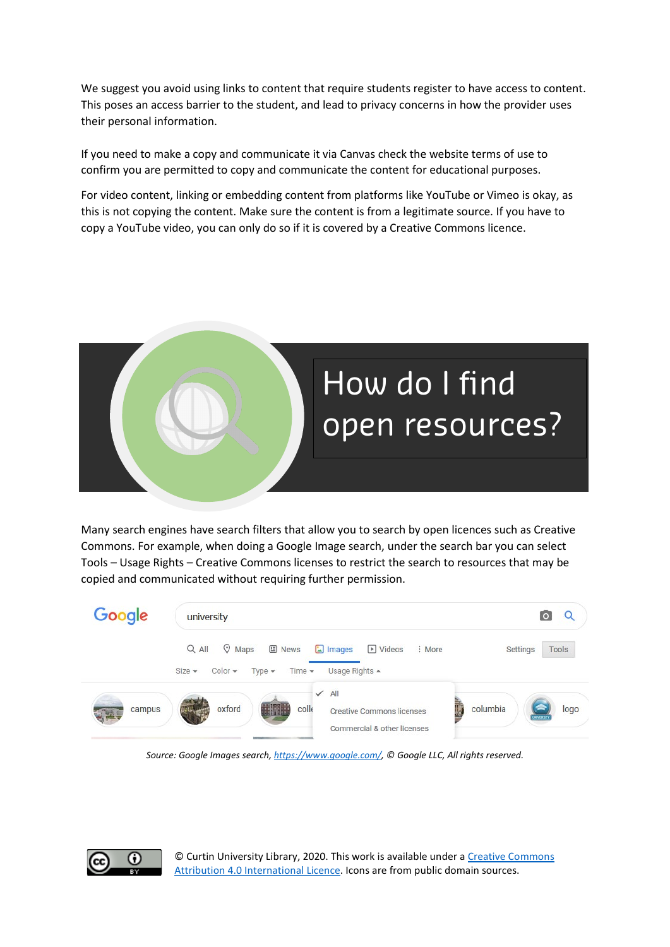We suggest you avoid using links to content that require students register to have access to content. This poses an access barrier to the student, and lead to privacy concerns in how the provider uses their personal information.

If you need to make a copy and communicate it via Canvas check the website terms of use to confirm you are permitted to copy and communicate the content for educational purposes.

For video content, linking or embedding content from platforms like YouTube or Vimeo is okay, as this is not copying the content. Make sure the content is from a legitimate source. If you have to copy a YouTube video, you can only do so if it is covered by a Creative Commons licence.



Many search engines have search filters that allow you to search by open licences such as Creative Commons. For example, when doing a Google Image search, under the search bar you can select Tools – Usage Rights – Creative Commons licenses to restrict the search to resources that may be copied and communicated without requiring further permission.



*Source: Google Images search[, https://www.google.com/,](https://www.google.com/) © Google LLC, All rights reserved.*



© Curtin University Library, 2020. This work is available under [a Creative Commons](https://creativecommons.org/licenses/by/4.0/)  [Attribution 4.0 International Licence.](https://creativecommons.org/licenses/by/4.0/) Icons are from public domain sources.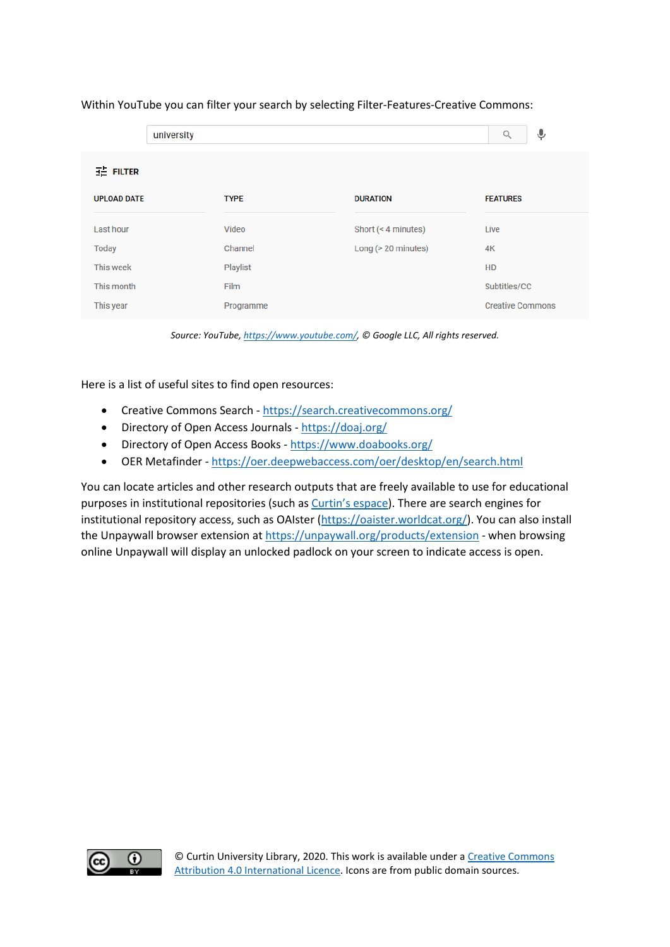|                    | university  |                     | Ļ<br>Q                  |
|--------------------|-------------|---------------------|-------------------------|
| HE FILTER          |             |                     |                         |
| <b>UPLOAD DATE</b> | <b>TYPE</b> | <b>DURATION</b>     | <b>FEATURES</b>         |
| Last hour          | Video       | Short (< 4 minutes) | Live                    |
| Today              | Channel     | Long (> 20 minutes) | 4K                      |
| This week          | Playlist    |                     | <b>HD</b>               |
| This month         | Film        |                     | Subtitles/CC            |
| This year          | Programme   |                     | <b>Creative Commons</b> |

## Within YouTube you can filter your search by selecting Filter-Features-Creative Commons:

*Source: YouTube[, https://www.youtube.com/,](https://www.youtube.com/) © Google LLC, All rights reserved.*

Here is a list of useful sites to find open resources:

- Creative Commons Search <https://search.creativecommons.org/>
- Directory of Open Access Journals <https://doaj.org/>
- Directory of Open Access Books <https://www.doabooks.org/>
- OER Metafinder <https://oer.deepwebaccess.com/oer/desktop/en/search.html>

You can locate articles and other research outputs that are freely available to use for educational purposes in institutional repositories (such as [Curtin's espace\)](https://espace.curtin.edu.au/). There are search engines for institutional repository access, such as OAIster [\(https://oaister.worldcat.org/\)](https://oaister.worldcat.org/). You can also install the Unpaywall browser extension at<https://unpaywall.org/products/extension> - when browsing online Unpaywall will display an unlocked padlock on your screen to indicate access is open.